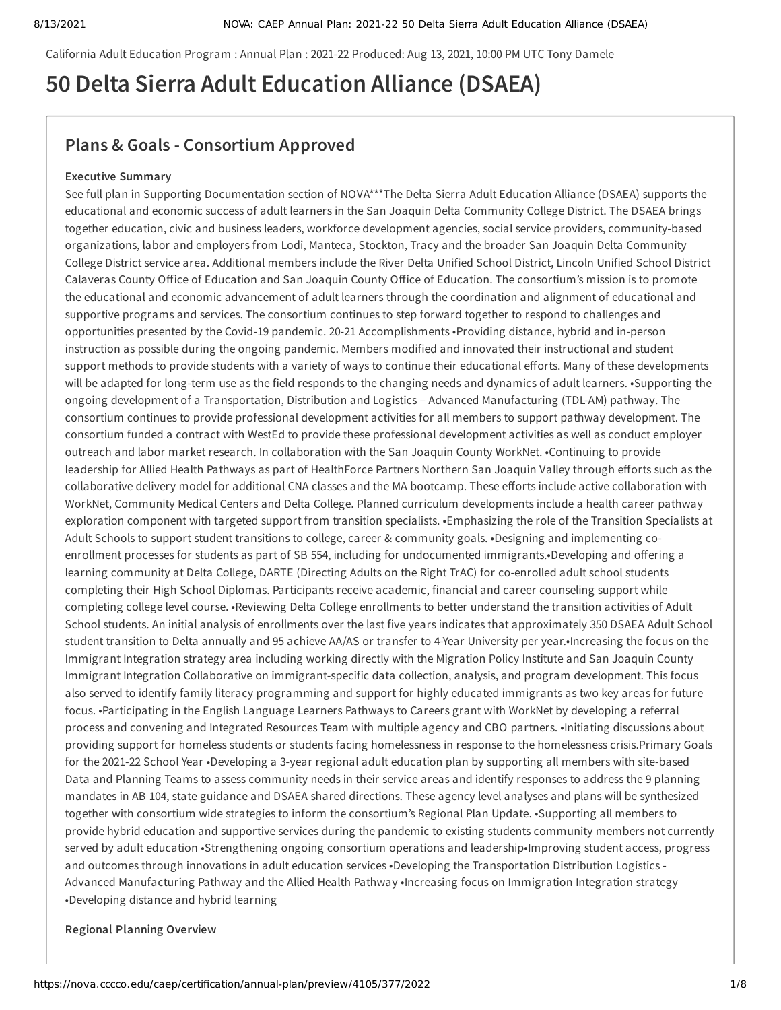California Adult Education Program : Annual Plan : 2021-22 Produced: Aug 13, 2021, 10:00 PM UTC Tony Damele

# **50 Delta Sierra Adult Education Alliance (DSAEA)**

## **Plans & Goals - Consortium Approved**

#### **Executive Summary**

See full plan in Supporting Documentation section of NOVA\*\*\*The Delta Sierra Adult Education Alliance (DSAEA) supports the educational and economic success of adult learners in the San Joaquin Delta Community College District. The DSAEA brings together education, civic and business leaders, workforce development agencies, social service providers, community-based organizations, labor and employers from Lodi, Manteca, Stockton, Tracy and the broader San Joaquin Delta Community College District service area. Additional members include the River Delta Unified School District, Lincoln Unified School District Calaveras County Office of Education and San Joaquin County Office of Education. The consortium's mission is to promote the educational and economic advancement of adult learners through the coordination and alignment of educational and supportive programs and services. The consortium continues to step forward together to respond to challenges and opportunities presented by the Covid-19 pandemic. 20-21 Accomplishments •Providing distance, hybrid and in-person instruction as possible during the ongoing pandemic. Members modified and innovated their instructional and student support methods to provide students with a variety of ways to continue their educational efforts. Many of these developments will be adapted for long-term use as the field responds to the changing needs and dynamics of adult learners. •Supporting the ongoing development of a Transportation, Distribution and Logistics – Advanced Manufacturing (TDL-AM) pathway. The consortium continues to provide professional development activities for all members to support pathway development. The consortium funded a contract with WestEd to provide these professional development activities as well as conduct employer outreach and labor market research. In collaboration with the San Joaquin County WorkNet. •Continuing to provide leadership for Allied Health Pathways as part of HealthForce Partners Northern San Joaquin Valley through efforts such as the collaborative delivery model for additional CNA classes and the MA bootcamp. These efforts include active collaboration with WorkNet, Community Medical Centers and Delta College. Planned curriculum developments include a health career pathway exploration component with targeted support from transition specialists. •Emphasizing the role of the Transition Specialists at Adult Schools to support student transitions to college, career & community goals. •Designing and implementing coenrollment processes for students as part of SB 554, including for undocumented immigrants.•Developing and offering a learning community at Delta College, DARTE (Directing Adults on the Right TrAC) for co-enrolled adult school students completing their High School Diplomas. Participants receive academic, financial and career counseling support while completing college level course. •Reviewing Delta College enrollments to better understand the transition activities of Adult School students. An initial analysis of enrollments over the last five years indicates that approximately 350 DSAEA Adult School student transition to Delta annually and 95 achieve AA/AS or transfer to 4-Year University per year.•Increasing the focus on the Immigrant Integration strategy area including working directly with the Migration Policy Institute and San Joaquin County Immigrant Integration Collaborative on immigrant-specific data collection, analysis, and program development. This focus also served to identify family literacy programming and support for highly educated immigrants as two key areas for future focus. •Participating in the English Language Learners Pathways to Careers grant with WorkNet by developing a referral process and convening and Integrated Resources Team with multiple agency and CBO partners. •Initiating discussions about providing support for homeless students or students facing homelessness in response to the homelessness crisis.Primary Goals for the 2021-22 School Year •Developing a 3-year regional adult education plan by supporting all members with site-based Data and Planning Teams to assess community needs in their service areas and identify responses to address the 9 planning mandates in AB 104, state guidance and DSAEA shared directions. These agency level analyses and plans will be synthesized together with consortium wide strategies to inform the consortium's Regional Plan Update. •Supporting all members to provide hybrid education and supportive services during the pandemic to existing students community members not currently served by adult education •Strengthening ongoing consortium operations and leadership•Improving student access, progress and outcomes through innovations in adult education services •Developing the Transportation Distribution Logistics - Advanced Manufacturing Pathway and the Allied Health Pathway •Increasing focus on Immigration Integration strategy •Developing distance and hybrid learning

#### **Regional Planning Overview**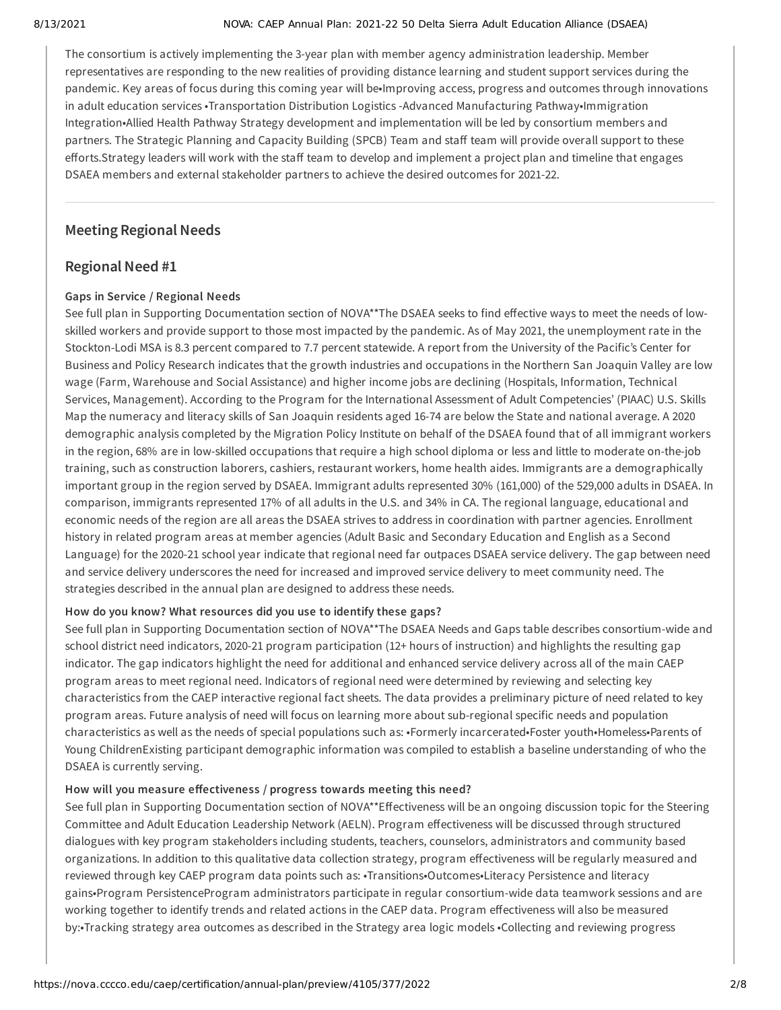#### 8/13/2021 NOVA: CAEP Annual Plan: 2021-22 50 Delta Sierra Adult Education Alliance (DSAEA)

The consortium is actively implementing the 3-year plan with member agency administration leadership. Member representatives are responding to the new realities of providing distance learning and student support services during the pandemic. Key areas of focus during this coming year will be•Improving access, progress and outcomes through innovations in adult education services •Transportation Distribution Logistics -Advanced Manufacturing Pathway•Immigration Integration•Allied Health Pathway Strategy development and implementation will be led by consortium members and partners. The Strategic Planning and Capacity Building (SPCB) Team and staff team will provide overall support to these efforts.Strategy leaders will work with the staff team to develop and implement a project plan and timeline that engages DSAEA members and external stakeholder partners to achieve the desired outcomes for 2021-22.

## **Meeting Regional Needs**

## **Regional Need #1**

### **Gaps in Service / Regional Needs**

See full plan in Supporting Documentation section of NOVA\*\*The DSAEA seeks to find effective ways to meet the needs of lowskilled workers and provide support to those most impacted by the pandemic. As of May 2021, the unemployment rate in the Stockton-Lodi MSA is 8.3 percent compared to 7.7 percent statewide. A report from the University of the Pacific's Center for Business and Policy Research indicates that the growth industries and occupations in the Northern San Joaquin Valley are low wage (Farm, Warehouse and Social Assistance) and higher income jobs are declining (Hospitals, Information, Technical Services, Management). According to the Program for the International Assessment of Adult Competencies' (PIAAC) U.S. Skills Map the numeracy and literacy skills of San Joaquin residents aged 16-74 are below the State and national average. A 2020 demographic analysis completed by the Migration Policy Institute on behalf of the DSAEA found that of all immigrant workers in the region, 68% are in low-skilled occupations that require a high school diploma or less and little to moderate on-the-job training, such as construction laborers, cashiers, restaurant workers, home health aides. Immigrants are a demographically important group in the region served by DSAEA. Immigrant adults represented 30% (161,000) of the 529,000 adults in DSAEA. In comparison, immigrants represented 17% of all adults in the U.S. and 34% in CA. The regional language, educational and economic needs of the region are all areas the DSAEA strives to address in coordination with partner agencies. Enrollment history in related program areas at member agencies (Adult Basic and Secondary Education and English as a Second Language) for the 2020-21 school year indicate that regional need far outpaces DSAEA service delivery. The gap between need and service delivery underscores the need for increased and improved service delivery to meet community need. The strategies described in the annual plan are designed to address these needs.

#### **How do you know? What resources did you use to identify these gaps?**

See full plan in Supporting Documentation section of NOVA\*\*The DSAEA Needs and Gaps table describes consortium-wide and school district need indicators, 2020-21 program participation (12+ hours of instruction) and highlights the resulting gap indicator. The gap indicators highlight the need for additional and enhanced service delivery across all of the main CAEP program areas to meet regional need. Indicators of regional need were determined by reviewing and selecting key characteristics from the CAEP interactive regional fact sheets. The data provides a preliminary picture of need related to key program areas. Future analysis of need will focus on learning more about sub-regional specific needs and population characteristics as well as the needs of special populations such as: •Formerly incarcerated•Foster youth•Homeless•Parents of Young ChildrenExisting participant demographic information was compiled to establish a baseline understanding of who the DSAEA is currently serving.

## **How will you measure effectiveness / progress towards meeting this need?**

See full plan in Supporting Documentation section of NOVA\*\*Effectiveness will be an ongoing discussion topic for the Steering Committee and Adult Education Leadership Network (AELN). Program effectiveness will be discussed through structured dialogues with key program stakeholders including students, teachers, counselors, administrators and community based organizations. In addition to this qualitative data collection strategy, program effectiveness will be regularly measured and reviewed through key CAEP program data points such as: •Transitions•Outcomes•Literacy Persistence and literacy gains•Program PersistenceProgram administrators participate in regular consortium-wide data teamwork sessions and are working together to identify trends and related actions in the CAEP data. Program effectiveness will also be measured by:•Tracking strategy area outcomes as described in the Strategy area logic models •Collecting and reviewing progress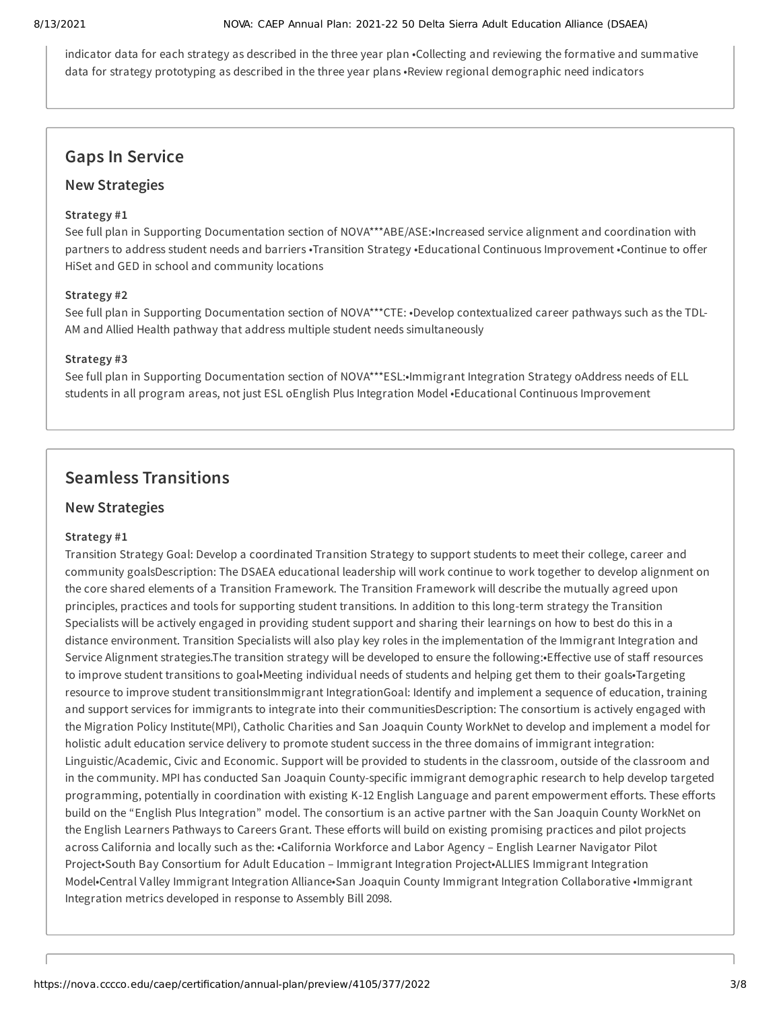indicator data for each strategy as described in the three year plan •Collecting and reviewing the formative and summative data for strategy prototyping as described in the three year plans •Review regional demographic need indicators

## **Gaps In Service**

## **New Strategies**

### **Strategy #1**

See full plan in Supporting Documentation section of NOVA\*\*\*ABE/ASE:•Increased service alignment and coordination with partners to address student needs and barriers •Transition Strategy •Educational Continuous Improvement •Continue to offer HiSet and GED in school and community locations

### **Strategy #2**

See full plan in Supporting Documentation section of NOVA\*\*\*CTE: •Develop contextualized career pathways such as the TDL-AM and Allied Health pathway that address multiple student needs simultaneously

### **Strategy #3**

See full plan in Supporting Documentation section of NOVA\*\*\*ESL:•Immigrant Integration Strategy oAddress needs of ELL students in all program areas, not just ESL oEnglish Plus Integration Model •Educational Continuous Improvement

## **Seamless Transitions**

## **New Strategies**

## **Strategy #1**

Transition Strategy Goal: Develop a coordinated Transition Strategy to support students to meet their college, career and community goalsDescription: The DSAEA educational leadership will work continue to work together to develop alignment on the core shared elements of a Transition Framework. The Transition Framework will describe the mutually agreed upon principles, practices and tools for supporting student transitions. In addition to this long-term strategy the Transition Specialists will be actively engaged in providing student support and sharing their learnings on how to best do this in a distance environment. Transition Specialists will also play key roles in the implementation of the Immigrant Integration and Service Alignment strategies.The transition strategy will be developed to ensure the following:•Effective use of staff resources to improve student transitions to goal•Meeting individual needs of students and helping get them to their goals•Targeting resource to improve student transitionsImmigrant IntegrationGoal: Identify and implement a sequence of education, training and support services for immigrants to integrate into their communitiesDescription: The consortium is actively engaged with the Migration Policy Institute(MPI), Catholic Charities and San Joaquin County WorkNet to develop and implement a model for holistic adult education service delivery to promote student success in the three domains of immigrant integration: Linguistic/Academic, Civic and Economic. Support will be provided to students in the classroom, outside of the classroom and in the community. MPI has conducted San Joaquin County-specific immigrant demographic research to help develop targeted programming, potentially in coordination with existing K-12 English Language and parent empowerment efforts. These efforts build on the "English Plus Integration" model. The consortium is an active partner with the San Joaquin County WorkNet on the English Learners Pathways to Careers Grant. These efforts will build on existing promising practices and pilot projects across California and locally such as the: •California Workforce and Labor Agency – English Learner Navigator Pilot Project•South Bay Consortium for Adult Education – Immigrant Integration Project•ALLIES Immigrant Integration Model•Central Valley Immigrant Integration Alliance•San Joaquin County Immigrant Integration Collaborative •Immigrant Integration metrics developed in response to Assembly Bill 2098.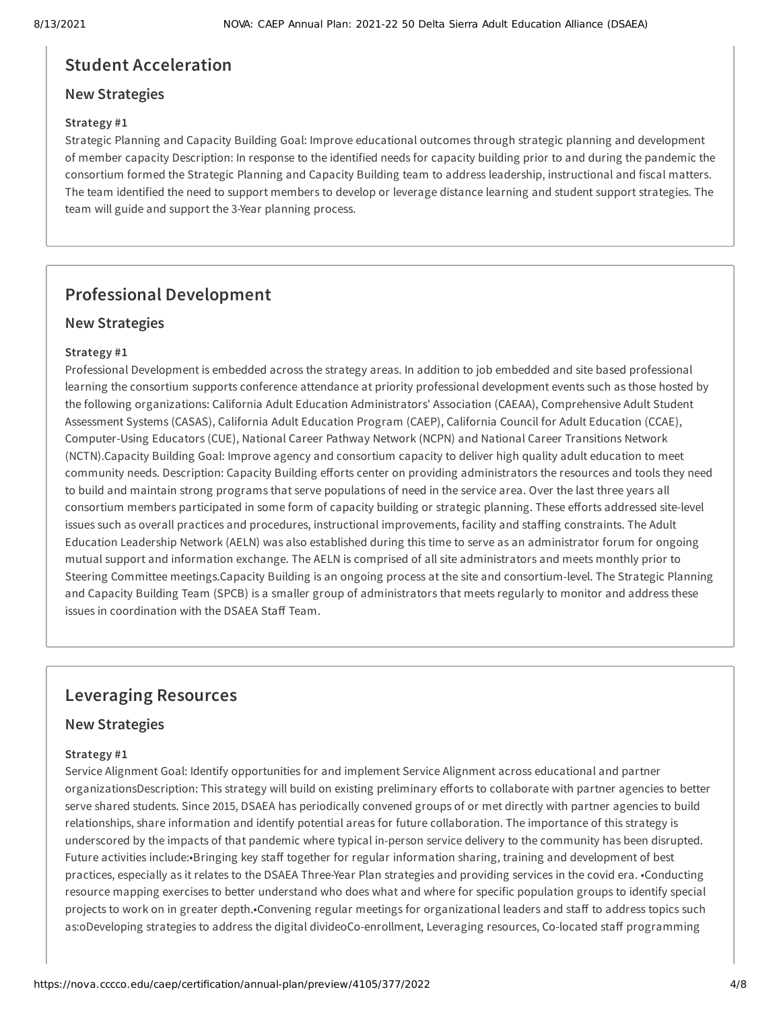## **Student Acceleration**

## **New Strategies**

### **Strategy #1**

Strategic Planning and Capacity Building Goal: Improve educational outcomes through strategic planning and development of member capacity Description: In response to the identified needs for capacity building prior to and during the pandemic the consortium formed the Strategic Planning and Capacity Building team to address leadership, instructional and fiscal matters. The team identified the need to support members to develop or leverage distance learning and student support strategies. The team will guide and support the 3-Year planning process.

## **Professional Development**

## **New Strategies**

### **Strategy #1**

Professional Development is embedded across the strategy areas. In addition to job embedded and site based professional learning the consortium supports conference attendance at priority professional development events such as those hosted by the following organizations: California Adult Education Administrators' Association (CAEAA), Comprehensive Adult Student Assessment Systems (CASAS), California Adult Education Program (CAEP), California Council for Adult Education (CCAE), Computer-Using Educators (CUE), National Career Pathway Network (NCPN) and National Career Transitions Network (NCTN).Capacity Building Goal: Improve agency and consortium capacity to deliver high quality adult education to meet community needs. Description: Capacity Building efforts center on providing administrators the resources and tools they need to build and maintain strong programs that serve populations of need in the service area. Over the last three years all consortium members participated in some form of capacity building or strategic planning. These efforts addressed site-level issues such as overall practices and procedures, instructional improvements, facility and staffing constraints. The Adult Education Leadership Network (AELN) was also established during this time to serve as an administrator forum for ongoing mutual support and information exchange. The AELN is comprised of all site administrators and meets monthly prior to Steering Committee meetings.Capacity Building is an ongoing process at the site and consortium-level. The Strategic Planning and Capacity Building Team (SPCB) is a smaller group of administrators that meets regularly to monitor and address these issues in coordination with the DSAEA Staff Team.

## **Leveraging Resources**

## **New Strategies**

#### **Strategy #1**

Service Alignment Goal: Identify opportunities for and implement Service Alignment across educational and partner organizationsDescription: This strategy will build on existing preliminary efforts to collaborate with partner agencies to better serve shared students. Since 2015, DSAEA has periodically convened groups of or met directly with partner agencies to build relationships, share information and identify potential areas for future collaboration. The importance of this strategy is underscored by the impacts of that pandemic where typical in-person service delivery to the community has been disrupted. Future activities include:•Bringing key staff together for regular information sharing, training and development of best practices, especially as it relates to the DSAEA Three-Year Plan strategies and providing services in the covid era. •Conducting resource mapping exercises to better understand who does what and where for specific population groups to identify special projects to work on in greater depth.•Convening regular meetings for organizational leaders and staff to address topics such as:oDeveloping strategies to address the digital divideoCo-enrollment, Leveraging resources, Co-located staff programming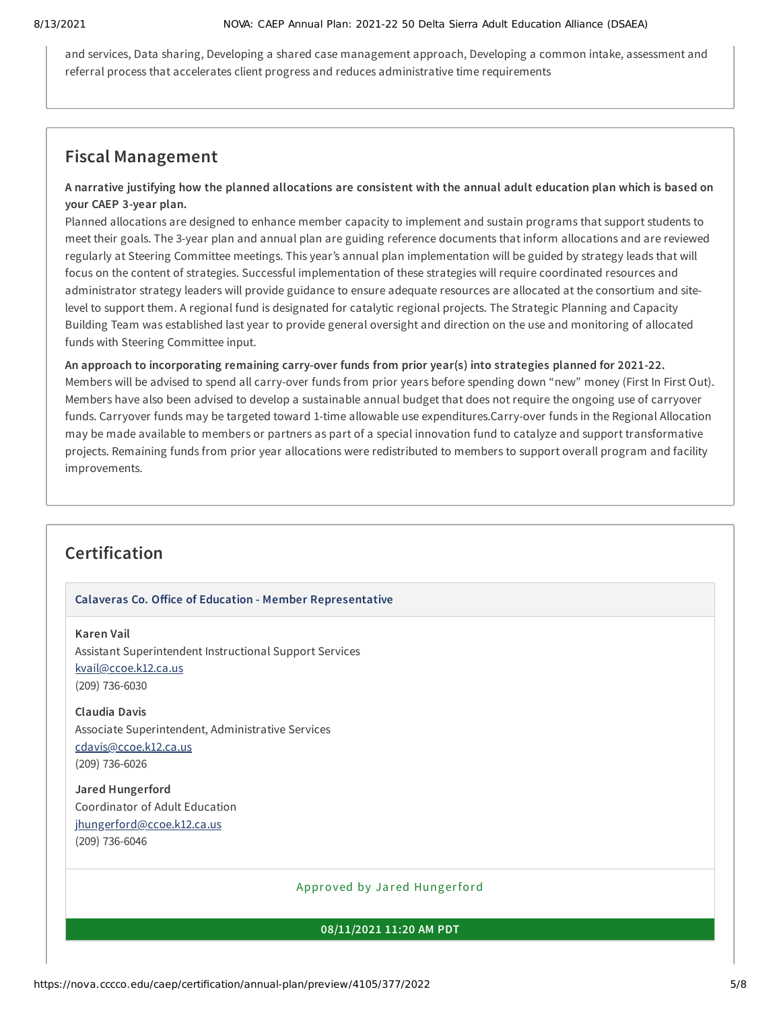and services, Data sharing, Developing a shared case management approach, Developing a common intake, assessment and referral process that accelerates client progress and reduces administrative time requirements

## **Fiscal Management**

## A narrative justifying how the planned allocations are consistent with the annual adult education plan which is based on **your CAEP 3-year plan.**

Planned allocations are designed to enhance member capacity to implement and sustain programs that support students to meet their goals. The 3-year plan and annual plan are guiding reference documents that inform allocations and are reviewed regularly at Steering Committee meetings. This year's annual plan implementation will be guided by strategy leads that will focus on the content of strategies. Successful implementation of these strategies will require coordinated resources and administrator strategy leaders will provide guidance to ensure adequate resources are allocated at the consortium and sitelevel to support them. A regional fund is designated for catalytic regional projects. The Strategic Planning and Capacity Building Team was established last year to provide general oversight and direction on the use and monitoring of allocated funds with Steering Committee input.

**An approach to incorporating remaining carry-over funds from prior year(s) into strategies planned for 2021-22.** Members will be advised to spend all carry-over funds from prior years before spending down "new" money (First In First Out). Members have also been advised to develop a sustainable annual budget that does not require the ongoing use of carryover funds. Carryover funds may be targeted toward 1-time allowable use expenditures.Carry-over funds in the Regional Allocation may be made available to members or partners as part of a special innovation fund to catalyze and support transformative projects. Remaining funds from prior year allocations were redistributed to members to support overall program and facility improvements.

## **Certification**

#### **Calaveras Co. Office of Education - Member Representative**

### **Karen Vail**

Assistant Superintendent Instructional Support Services [kvail@ccoe.k12.ca.us](mailto:kvail@ccoe.k12.ca.us) (209) 736-6030

**Claudia Davis** Associate Superintendent, Administrative Services [cdavis@ccoe.k12.ca.us](mailto:cdavis@ccoe.k12.ca.us) (209) 736-6026

**Jared Hungerford** Coordinator of Adult Education [jhungerford@ccoe.k12.ca.us](mailto:jhungerford@ccoe.k12.ca.us) (209) 736-6046

## Approved by Jared Hungerford

#### **08/11/2021 11:20 AM PDT**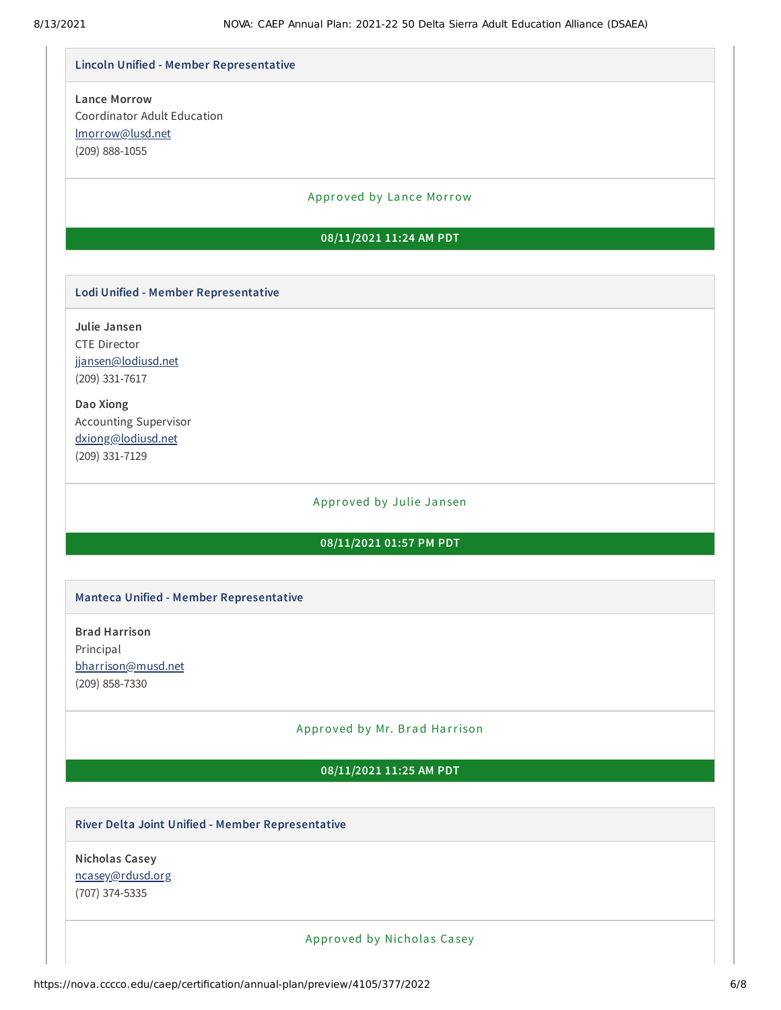#### **Lincoln Unified - Member Representative**

## **Lance Morrow** Coordinator Adult Education [lmorrow@lusd.net](mailto:lmorrow@lusd.net) (209) 888-1055

#### Approved by Lance Morrow

### **08/11/2021 11:24 AM PDT**

#### **Lodi Unified - Member Representative**

**Julie Jansen** CTE Director [jjansen@lodiusd.net](mailto:jjansen@lodiusd.net) (209) 331-7617

**Dao Xiong** Accounting Supervisor [dxiong@lodiusd.net](mailto:dxiong@lodiusd.net) (209) 331-7129

#### Approved by Julie Jansen

#### **08/11/2021 01:57 PM PDT**

#### **Manteca Unified - Member Representative**

**Brad Harrison** Principal [bharrison@musd.net](mailto:bharrison@musd.net) (209) 858-7330

### Approved by Mr. Brad Harrison

#### **08/11/2021 11:25 AM PDT**

#### **River Delta Joint Unified - Member Representative**

**Nicholas Casey** [ncasey@rdusd.org](mailto:ncasey@rdusd.org) (707) 374-5335

Approved by Nicholas Casey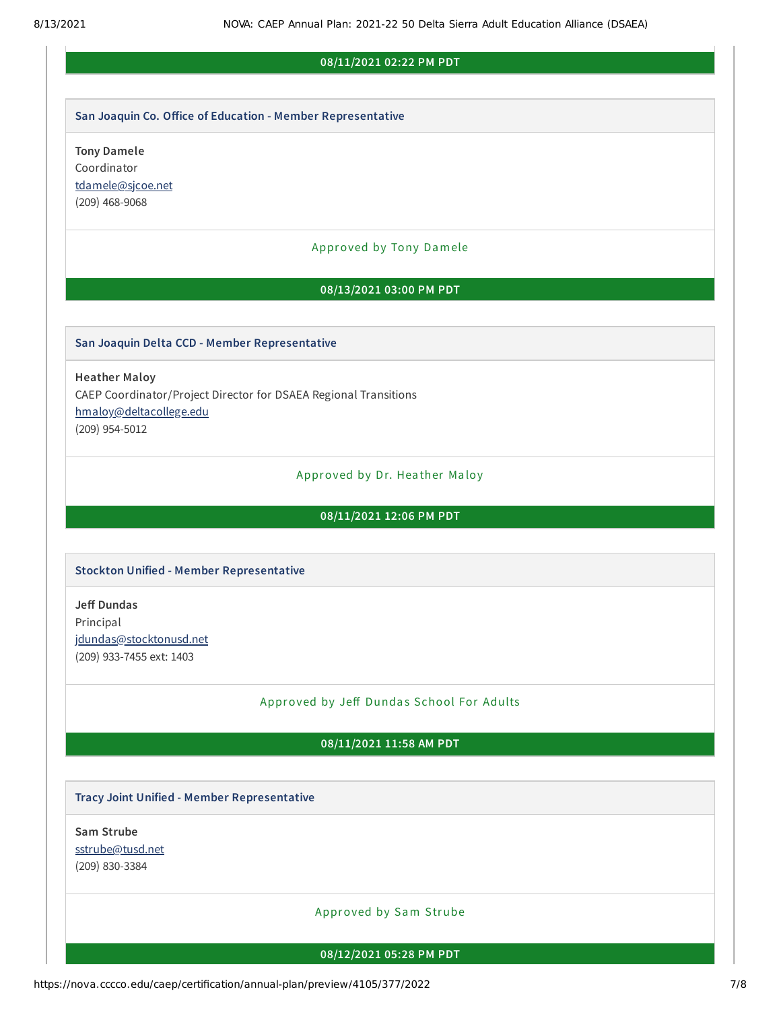#### **08/11/2021 02:22 PM PDT**

#### **San Joaquin Co. Office of Education - Member Representative**

**Tony Damele** Coordinator [tdamele@sjcoe.net](mailto:tdamele@sjcoe.net) (209) 468-9068

#### Approved by Tony Damele

#### **08/13/2021 03:00 PM PDT**

#### **San Joaquin Delta CCD - Member Representative**

**Heather Maloy** CAEP Coordinator/Project Director for DSAEA Regional Transitions [hmaloy@deltacollege.edu](mailto:hmaloy@deltacollege.edu) (209) 954-5012

#### Approved by Dr. Heather Maloy

#### **08/11/2021 12:06 PM PDT**

#### **Stockton Unified - Member Representative**

**Jeff Dundas** Principal [jdundas@stocktonusd.net](mailto:jdundas@stocktonusd.net) (209) 933-7455 ext: 1403

#### Approved by Jeff Dundas School For Adults

### **08/11/2021 11:58 AM PDT**

#### **Tracy Joint Unified - Member Representative**

**Sam Strube** [sstrube@tusd.net](mailto:sstrube@tusd.net) (209) 830-3384

#### Approved by Sam Strube

#### **08/12/2021 05:28 PM PDT**